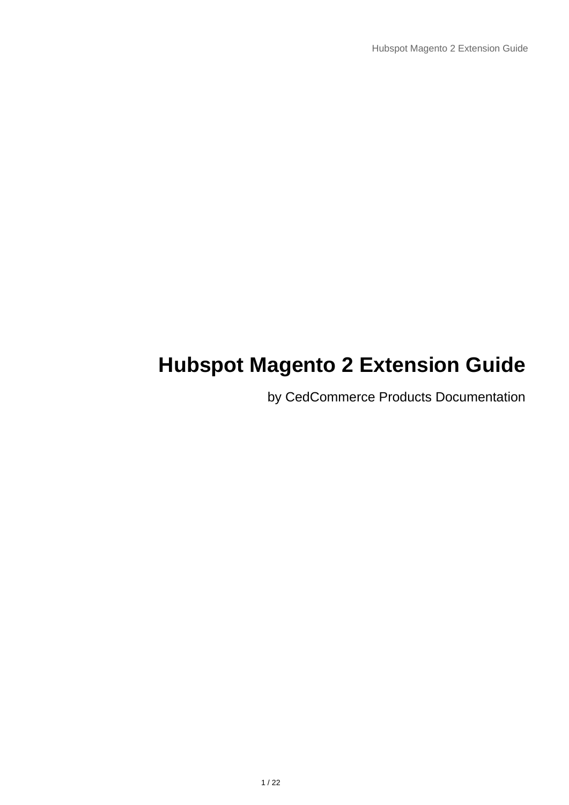# **Hubspot Magento 2 Extension Guide**

by CedCommerce Products Documentation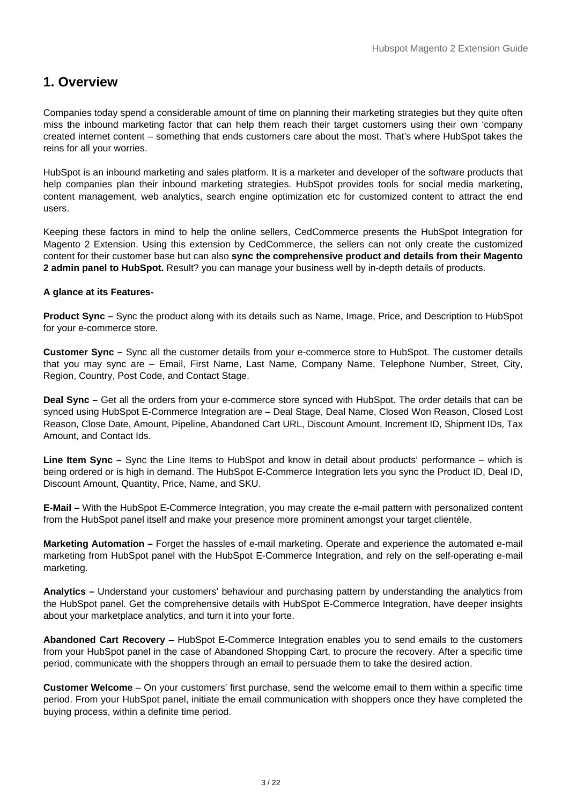# <span id="page-2-0"></span>**1. Overview**

Companies today spend a considerable amount of time on planning their marketing strategies but they quite often miss the inbound marketing factor that can help them reach their target customers using their own 'company created internet content – something that ends customers care about the most. That's where HubSpot takes the reins for all your worries.

HubSpot is an inbound marketing and sales platform. It is a marketer and developer of the software products that help companies plan their inbound marketing strategies. HubSpot provides tools for social media marketing, content management, web analytics, search engine optimization etc for customized content to attract the end users.

Keeping these factors in mind to help the online sellers, CedCommerce presents the HubSpot Integration for Magento 2 Extension. Using this extension by CedCommerce, the sellers can not only create the customized content for their customer base but can also **sync the comprehensive product and details from their Magento 2 admin panel to HubSpot.** Result? you can manage your business well by in-depth details of products.

#### **A glance at its Features-**

**Product Sync –** Sync the product along with its details such as Name, Image, Price, and Description to HubSpot for your e-commerce store.

**Customer Sync –** Sync all the customer details from your e-commerce store to HubSpot. The customer details that you may sync are – Email, First Name, Last Name, Company Name, Telephone Number, Street, City, Region, Country, Post Code, and Contact Stage.

**Deal Sync –** Get all the orders from your e-commerce store synced with HubSpot. The order details that can be synced using HubSpot E-Commerce Integration are – Deal Stage, Deal Name, Closed Won Reason, Closed Lost Reason, Close Date, Amount, Pipeline, Abandoned Cart URL, Discount Amount, Increment ID, Shipment IDs, Tax Amount, and Contact Ids.

**Line Item Sync –** Sync the Line Items to HubSpot and know in detail about products' performance – which is being ordered or is high in demand. The HubSpot E-Commerce Integration lets you sync the Product ID, Deal ID, Discount Amount, Quantity, Price, Name, and SKU.

**E-Mail –** With the HubSpot E-Commerce Integration, you may create the e-mail pattern with personalized content from the HubSpot panel itself and make your presence more prominent amongst your target clientèle.

**Marketing Automation –** Forget the hassles of e-mail marketing. Operate and experience the automated e-mail marketing from HubSpot panel with the HubSpot E-Commerce Integration, and rely on the self-operating e-mail marketing.

**Analytics –** Understand your customers' behaviour and purchasing pattern by understanding the analytics from the HubSpot panel. Get the comprehensive details with HubSpot E-Commerce Integration, have deeper insights about your marketplace analytics, and turn it into your forte.

**Abandoned Cart Recovery** – HubSpot E-Commerce Integration enables you to send emails to the customers from your HubSpot panel in the case of Abandoned Shopping Cart, to procure the recovery. After a specific time period, communicate with the shoppers through an email to persuade them to take the desired action.

**Customer Welcome** – On your customers' first purchase, send the welcome email to them within a specific time period. From your HubSpot panel, initiate the email communication with shoppers once they have completed the buying process, within a definite time period.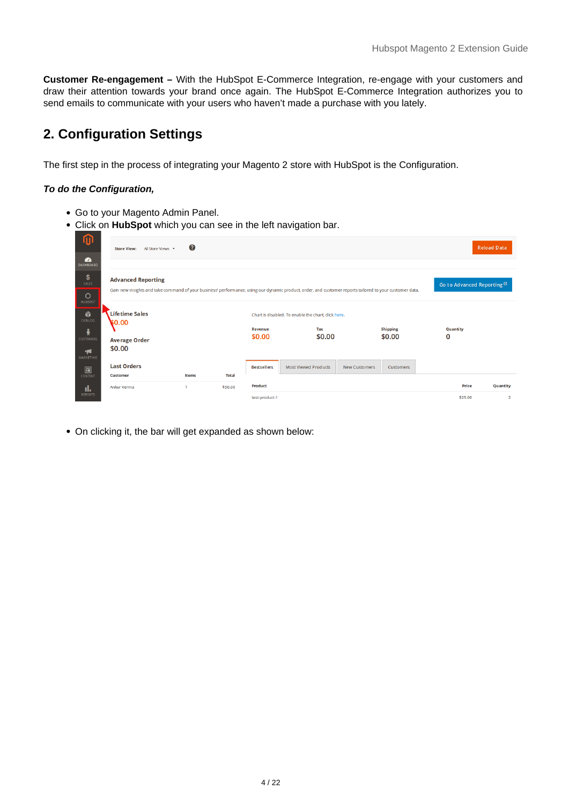<span id="page-3-0"></span>**Customer Re-engagement –** With the HubSpot E-Commerce Integration, re-engage with your customers and draw their attention towards your brand once again. The HubSpot E-Commerce Integration authorizes you to send emails to communicate with your users who haven't made a purchase with you lately.

# **2. Configuration Settings**

The first step in the process of integrating your Magento 2 store with HubSpot is the Configuration.

#### **To do the Configuration,**

- Go to your Magento Admin Panel.
- Click on **HubSpot** which you can see in the left navigation bar.

| ⋒<br>$\mathbf{a}$                                              | All Store Views .<br><b>Store View:</b>                                                                                                                                               | 0     |              |                           |                                                                      |               |                           |                                        | <b>Reload Data</b>         |
|----------------------------------------------------------------|---------------------------------------------------------------------------------------------------------------------------------------------------------------------------------------|-------|--------------|---------------------------|----------------------------------------------------------------------|---------------|---------------------------|----------------------------------------|----------------------------|
| <b>DASHBOARD</b><br>\$<br>SALES<br>$\circ$<br><b>HUBSPOT</b>   | <b>Advanced Reporting</b><br>Gain new insights and take command of your business' performance, using our dynamic product, order, and customer reports tailored to your customer data. |       |              |                           |                                                                      |               |                           | Go to Advanced Reporting <sup>12</sup> |                            |
| Ŵ<br>CATALOG<br>ŵ<br><b>CUSTOMERS</b><br>Ч<br><b>MARKETING</b> | <b>Lifetime Sales</b><br>\$0.00<br><b>Average Order</b><br>\$0.00                                                                                                                     |       |              | <b>Revenue</b><br>\$0.00  | Chart is disabled. To enable the chart, click here.<br>Tax<br>\$0.00 |               | <b>Shipping</b><br>\$0.00 | Quantity<br>0                          |                            |
| $\square$<br><b>CONTENT</b>                                    | <b>Last Orders</b><br><b>Customer</b>                                                                                                                                                 | Items | <b>Total</b> | <b>Bestsellers</b>        | <b>Most Viewed Products</b>                                          | New Customers | Customers                 |                                        |                            |
| ıl.<br><b>REPORTS</b>                                          | Ankur Verma                                                                                                                                                                           |       | \$50.00      | Product<br>test-product-1 |                                                                      |               |                           | Price<br>\$25.00                       | Quantity<br>$\overline{2}$ |

On clicking it, the bar will get expanded as shown below: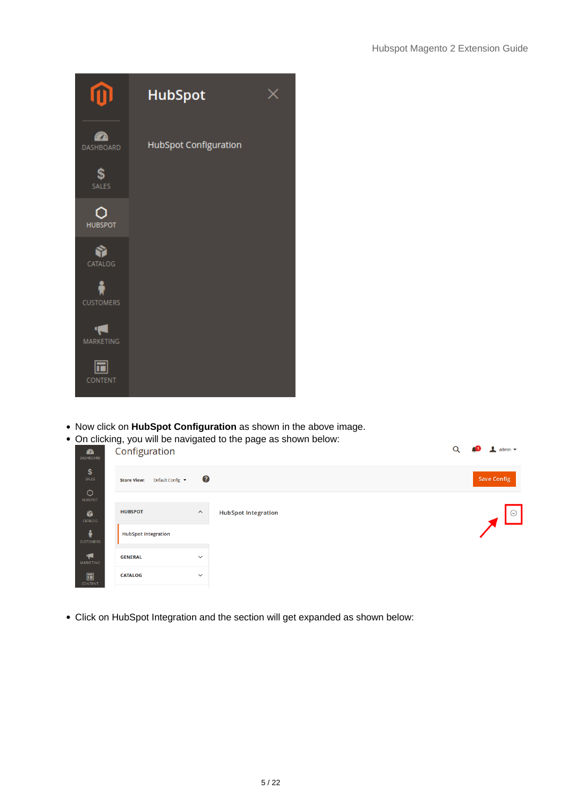|                        | <b>HubSpot</b>        |  |
|------------------------|-----------------------|--|
| 42<br><b>DASHBOARD</b> | HubSpot Configuration |  |
| \$<br><b>SALES</b>     |                       |  |
| <b>HUBSPOT</b>         |                       |  |
| CATALOG                |                       |  |
| <b>CUSTOMERS</b>       |                       |  |
| <b>MARKETING</b>       |                       |  |
| <b>CONTENT</b>         |                       |  |

Now click on **HubSpot Configuration** as shown in the above image.





Click on HubSpot Integration and the section will get expanded as shown below: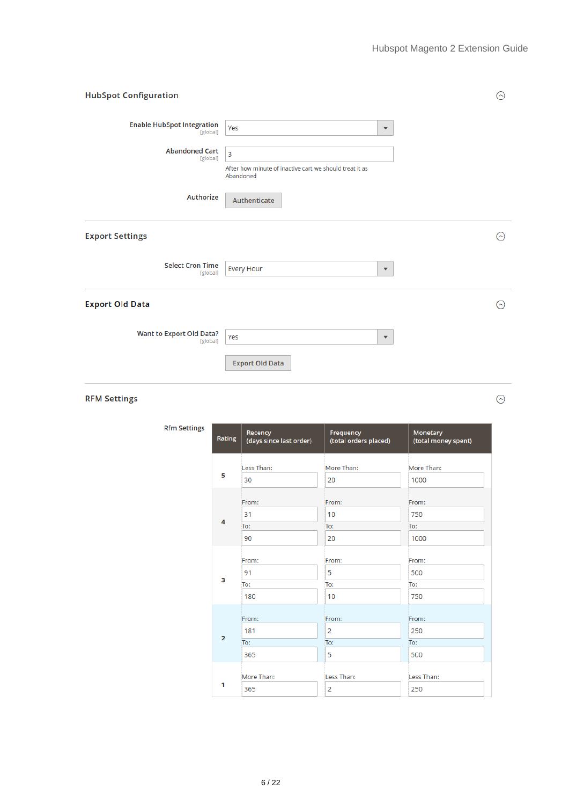$\odot$ 

| <b>HubSpot Configuration</b>                  |                                                                      | ⊙       |
|-----------------------------------------------|----------------------------------------------------------------------|---------|
| <b>Enable HubSpot Integration</b><br>[global] | Yes<br>$\blacktriangledown$                                          |         |
| <b>Abandoned Cart</b><br>[global]             | 3                                                                    |         |
|                                               | After how minute of inactive cart we should treat it as<br>Abandoned |         |
| Authorize                                     | Authenticate                                                         |         |
| <b>Export Settings</b>                        |                                                                      | $\odot$ |
| <b>Select Cron Time</b><br>[global]           | <b>Every Hour</b><br>$\blacktriangledown$                            |         |
| <b>Export Old Data</b>                        |                                                                      | ⊙       |
| <b>Want to Export Old Data?</b><br>[global]   | Yes<br>$\blacktriangledown$                                          |         |
|                                               | <b>Export Old Data</b>                                               |         |

#### **RFM Settings**

Rfm

| <b>Settings</b> | Rating                  | Recency<br>(days since last order) | Frequency<br>(total orders placed) | Monetary<br>(total money spent) |
|-----------------|-------------------------|------------------------------------|------------------------------------|---------------------------------|
|                 |                         | Less Than:                         | More Than:                         | More Than:                      |
|                 | 5                       | 30                                 | 20                                 | 1000                            |
|                 |                         | From:                              | From:                              | From:                           |
|                 | 4                       | 31<br>To:                          | 10<br>To:                          | 750<br>To:                      |
|                 |                         | 90                                 | 20                                 | 1000                            |
|                 |                         | From:                              | From:                              | From:                           |
|                 | 3                       | 91                                 | 5                                  | 500                             |
|                 |                         | To:                                | To:                                | To:                             |
|                 |                         | 180                                | 10                                 | 750                             |
|                 |                         | From:                              | From:                              | From:                           |
|                 |                         | 181                                | $\overline{2}$                     | 250                             |
|                 | $\overline{\mathbf{2}}$ | To:                                | To:                                | To:                             |
|                 |                         | 365                                | 5                                  | 500                             |
|                 | 1                       | More Than:<br>365                  | Less Than:<br>$\overline{2}$       | Less Than:<br>250               |
|                 |                         |                                    |                                    |                                 |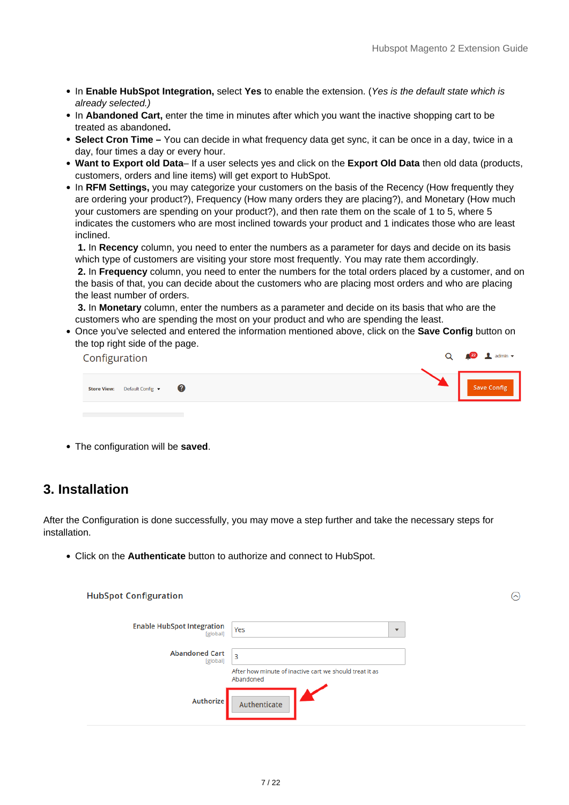- <span id="page-6-0"></span>In **Enable HubSpot Integration,** select **Yes** to enable the extension. (Yes is the default state which is already selected.)
- In Abandoned Cart, enter the time in minutes after which you want the inactive shopping cart to be treated as abandoned**.**
- **Select Cron Time** You can decide in what frequency data get sync, it can be once in a day, twice in a day, four times a day or every hour.
- **Want to Export old Data** If a user selects yes and click on the **Export Old Data** then old data (products, customers, orders and line items) will get export to HubSpot.
- In RFM Settings, you may categorize your customers on the basis of the Recency (How frequently they are ordering your product?), Frequency (How many orders they are placing?), and Monetary (How much your customers are spending on your product?), and then rate them on the scale of 1 to 5, where 5 indicates the customers who are most inclined towards your product and 1 indicates those who are least inclined.

**1.** In **Recency** column, you need to enter the numbers as a parameter for days and decide on its basis which type of customers are visiting your store most frequently. You may rate them accordingly.

**2.** In **Frequency** column, you need to enter the numbers for the total orders placed by a customer, and on the basis of that, you can decide about the customers who are placing most orders and who are placing the least number of orders.

**3.** In **Monetary** column, enter the numbers as a parameter and decide on its basis that who are the customers who are spending the most on your product and who are spending the least.

Once you've selected and entered the information mentioned above, click on the **Save Config** button on the top right side of the page.

| Configuration                                 | $Q \qquad 2$ $\blacksquare$ admin $\blacktriangledown$ |
|-----------------------------------------------|--------------------------------------------------------|
| - 2<br>Default Config v<br><b>Store View:</b> | <b>Save Config</b>                                     |
|                                               |                                                        |

The configuration will be **saved**.

# **3. Installation**

After the Configuration is done successfully, you may move a step further and take the necessary steps for installation.

Click on the **Authenticate** button to authorize and connect to HubSpot.

| <b>HubSpot Configuration</b>                  |                                                                      |                          | $(\sim)$ |
|-----------------------------------------------|----------------------------------------------------------------------|--------------------------|----------|
| <b>Enable HubSpot Integration</b><br>[global] | Yes                                                                  | $\overline{\phantom{a}}$ |          |
| <b>Abandoned Cart</b><br>[global]             | 3                                                                    |                          |          |
|                                               | After how minute of inactive cart we should treat it as<br>Abandoned |                          |          |
| Authorize                                     | Authenticate                                                         |                          |          |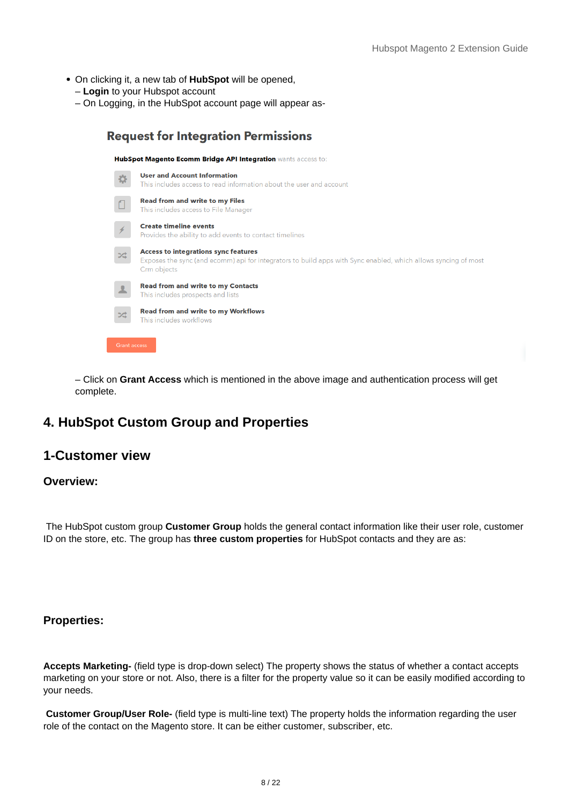- <span id="page-7-0"></span>On clicking it, a new tab of **HubSpot** will be opened,
	- **Login** to your Hubspot account
	- On Logging, in the HubSpot account page will appear as-



– Click on **Grant Access** which is mentioned in the above image and authentication process will get complete.

# **4. HubSpot Custom Group and Properties**

# **1-Customer view**

#### **Overview:**

 The HubSpot custom group **Customer Group** holds the general contact information like their user role, customer ID on the store, etc. The group has **three custom properties** for HubSpot contacts and they are as:

#### **Properties:**

**Accepts Marketing-** (field type is drop-down select) The property shows the status of whether a contact accepts marketing on your store or not. Also, there is a filter for the property value so it can be easily modified according to your needs.

**Customer Group/User Role-** (field type is multi-line text) The property holds the information regarding the user role of the contact on the Magento store. It can be either customer, subscriber, etc.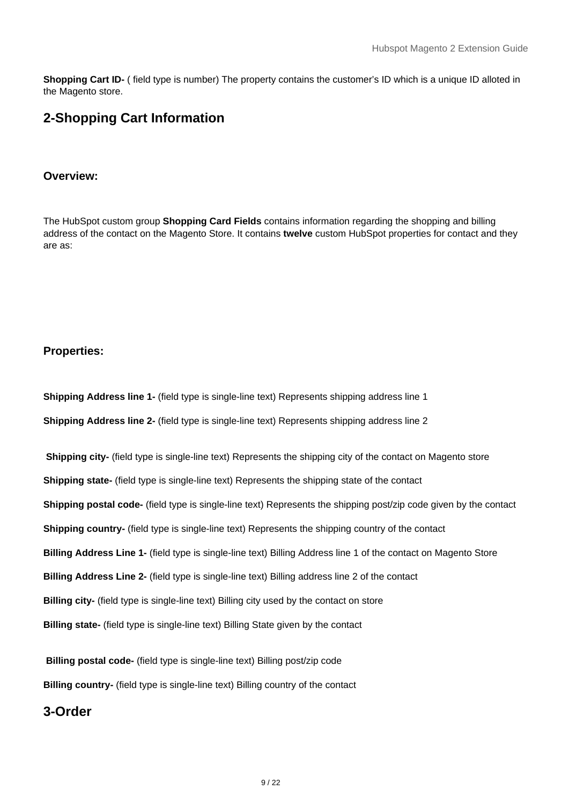**Shopping Cart ID-** ( field type is number) The property contains the customer's ID which is a unique ID alloted in the Magento store.

# **2-Shopping Cart Information**

#### **Overview:**

The HubSpot custom group **Shopping Card Fields** contains information regarding the shopping and billing address of the contact on the Magento Store. It contains **twelve** custom HubSpot properties for contact and they are as:

#### **Properties:**

**Shipping Address line 1-** (field type is single-line text) Represents shipping address line 1 **Shipping Address line 2-** (field type is single-line text) Represents shipping address line 2

**Shipping city-** (field type is single-line text) Represents the shipping city of the contact on Magento store **Shipping state-** (field type is single-line text) Represents the shipping state of the contact **Shipping postal code-** (field type is single-line text) Represents the shipping post/zip code given by the contact **Shipping country-** (field type is single-line text) Represents the shipping country of the contact **Billing Address Line 1-** (field type is single-line text) Billing Address line 1 of the contact on Magento Store **Billing Address Line 2-** (field type is single-line text) Billing address line 2 of the contact **Billing city-** (field type is single-line text) Billing city used by the contact on store **Billing state-** (field type is single-line text) Billing State given by the contact

**Billing postal code-** (field type is single-line text) Billing post/zip code **Billing country-** (field type is single-line text) Billing country of the contact

# **3-Order**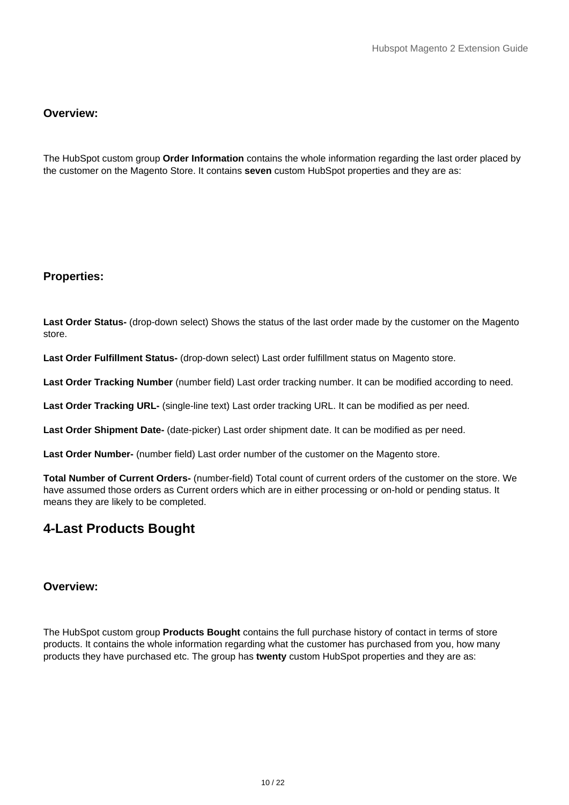## **Overview:**

The HubSpot custom group **Order Information** contains the whole information regarding the last order placed by the customer on the Magento Store. It contains **seven** custom HubSpot properties and they are as:

#### **Properties:**

**Last Order Status-** (drop-down select) Shows the status of the last order made by the customer on the Magento store.

**Last Order Fulfillment Status-** (drop-down select) Last order fulfillment status on Magento store.

**Last Order Tracking Number** (number field) Last order tracking number. It can be modified according to need.

**Last Order Tracking URL-** (single-line text) Last order tracking URL. It can be modified as per need.

**Last Order Shipment Date-** (date-picker) Last order shipment date. It can be modified as per need.

**Last Order Number-** (number field) Last order number of the customer on the Magento store.

**Total Number of Current Orders-** (number-field) Total count of current orders of the customer on the store. We have assumed those orders as Current orders which are in either processing or on-hold or pending status. It means they are likely to be completed.

# **4-Last Products Bought**

## **Overview:**

The HubSpot custom group **Products Bought** contains the full purchase history of contact in terms of store products. It contains the whole information regarding what the customer has purchased from you, how many products they have purchased etc. The group has **twenty** custom HubSpot properties and they are as: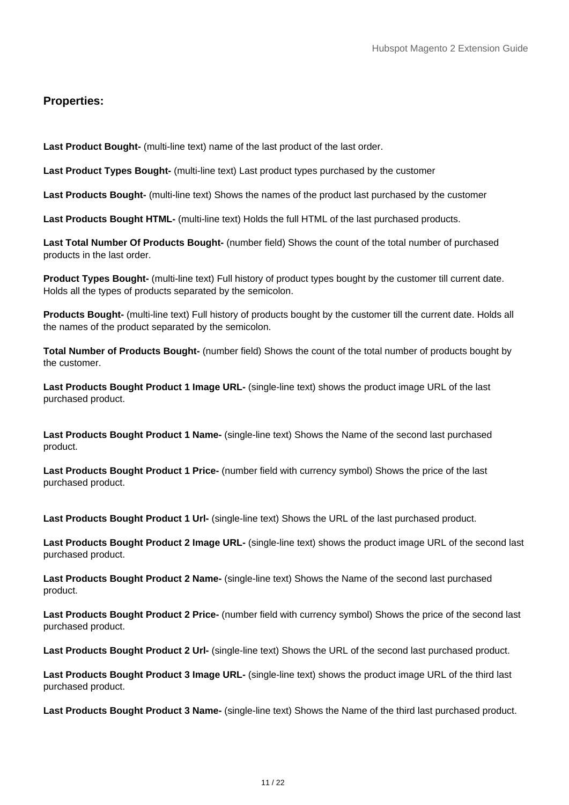## **Properties:**

Last Product Bought- (multi-line text) name of the last product of the last order.

Last Product Types Bought- (multi-line text) Last product types purchased by the customer

**Last Products Bought-** (multi-line text) Shows the names of the product last purchased by the customer

**Last Products Bought HTML-** (multi-line text) Holds the full HTML of the last purchased products.

**Last Total Number Of Products Bought-** (number field) Shows the count of the total number of purchased products in the last order.

**Product Types Bought-** (multi-line text) Full history of product types bought by the customer till current date. Holds all the types of products separated by the semicolon.

**Products Bought-** (multi-line text) Full history of products bought by the customer till the current date. Holds all the names of the product separated by the semicolon.

**Total Number of Products Bought-** (number field) Shows the count of the total number of products bought by the customer.

**Last Products Bought Product 1 Image URL-** (single-line text) shows the product image URL of the last purchased product.

**Last Products Bought Product 1 Name-** (single-line text) Shows the Name of the second last purchased product.

**Last Products Bought Product 1 Price-** (number field with currency symbol) Shows the price of the last purchased product.

**Last Products Bought Product 1 Url-** (single-line text) Shows the URL of the last purchased product.

**Last Products Bought Product 2 Image URL-** (single-line text) shows the product image URL of the second last purchased product.

**Last Products Bought Product 2 Name-** (single-line text) Shows the Name of the second last purchased product.

**Last Products Bought Product 2 Price-** (number field with currency symbol) Shows the price of the second last purchased product.

**Last Products Bought Product 2 Url-** (single-line text) Shows the URL of the second last purchased product.

**Last Products Bought Product 3 Image URL-** (single-line text) shows the product image URL of the third last purchased product.

**Last Products Bought Product 3 Name-** (single-line text) Shows the Name of the third last purchased product.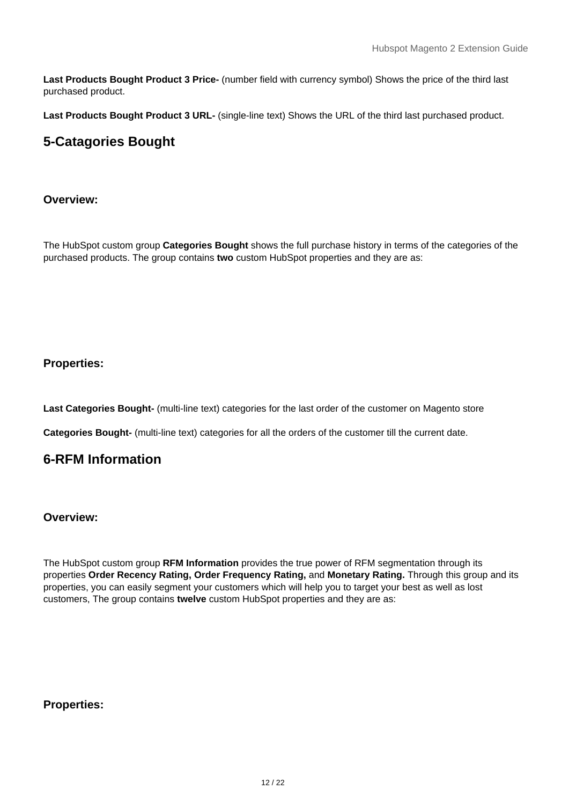**Last Products Bought Product 3 Price-** (number field with currency symbol) Shows the price of the third last purchased product.

**Last Products Bought Product 3 URL-** (single-line text) Shows the URL of the third last purchased product.

# **5-Catagories Bought**

## **Overview:**

The HubSpot custom group **Categories Bought** shows the full purchase history in terms of the categories of the purchased products. The group contains **two** custom HubSpot properties and they are as:

# **Properties:**

Last Categories Bought- (multi-line text) categories for the last order of the customer on Magento store

**Categories Bought-** (multi-line text) categories for all the orders of the customer till the current date.

# **6-RFM Information**

#### **Overview:**

The HubSpot custom group **RFM Information** provides the true power of RFM segmentation through its properties **Order Recency Rating, Order Frequency Rating,** and **Monetary Rating.** Through this group and its properties, you can easily segment your customers which will help you to target your best as well as lost customers, The group contains **twelve** custom HubSpot properties and they are as:

#### **Properties:**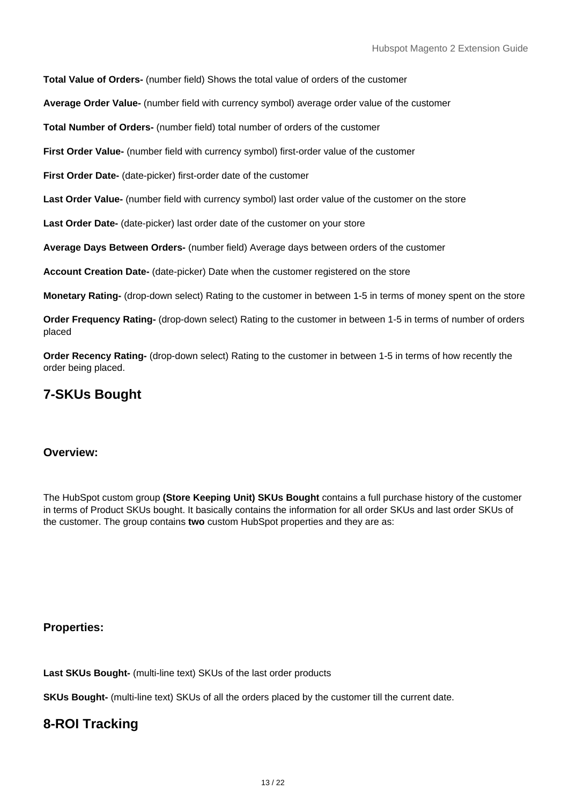**Total Value of Orders-** (number field) Shows the total value of orders of the customer

**Average Order Value-** (number field with currency symbol) average order value of the customer

**Total Number of Orders-** (number field) total number of orders of the customer

First Order Value- (number field with currency symbol) first-order value of the customer

**First Order Date-** (date-picker) first-order date of the customer

Last Order Value- (number field with currency symbol) last order value of the customer on the store

Last Order Date- (date-picker) last order date of the customer on your store

**Average Days Between Orders-** (number field) Average days between orders of the customer

**Account Creation Date-** (date-picker) Date when the customer registered on the store

**Monetary Rating-** (drop-down select) Rating to the customer in between 1-5 in terms of money spent on the store

**Order Frequency Rating-** (drop-down select) Rating to the customer in between 1-5 in terms of number of orders placed

**Order Recency Rating-** (drop-down select) Rating to the customer in between 1-5 in terms of how recently the order being placed.

# **7-SKUs Bought**

#### **Overview:**

The HubSpot custom group **(Store Keeping Unit) SKUs Bought** contains a full purchase history of the customer in terms of Product SKUs bought. It basically contains the information for all order SKUs and last order SKUs of the customer. The group contains **two** custom HubSpot properties and they are as:

**Properties:**

Last SKUs Bought- (multi-line text) SKUs of the last order products

**SKUs Bought-** (multi-line text) SKUs of all the orders placed by the customer till the current date.

# **8-ROI Tracking**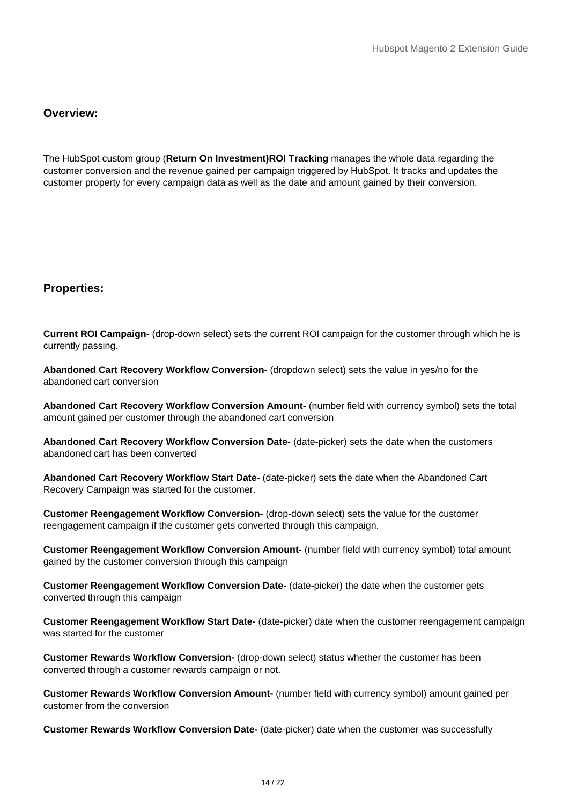## **Overview:**

The HubSpot custom group (**Return On Investment)ROI Tracking** manages the whole data regarding the customer conversion and the revenue gained per campaign triggered by HubSpot. It tracks and updates the customer property for every campaign data as well as the date and amount gained by their conversion.

#### **Properties:**

**Current ROI Campaign-** (drop-down select) sets the current ROI campaign for the customer through which he is currently passing.

**Abandoned Cart Recovery Workflow Conversion-** (dropdown select) sets the value in yes/no for the abandoned cart conversion

**Abandoned Cart Recovery Workflow Conversion Amount-** (number field with currency symbol) sets the total amount gained per customer through the abandoned cart conversion

**Abandoned Cart Recovery Workflow Conversion Date-** (date-picker) sets the date when the customers abandoned cart has been converted

**Abandoned Cart Recovery Workflow Start Date-** (date-picker) sets the date when the Abandoned Cart Recovery Campaign was started for the customer.

**Customer Reengagement Workflow Conversion-** (drop-down select) sets the value for the customer reengagement campaign if the customer gets converted through this campaign.

**Customer Reengagement Workflow Conversion Amount-** (number field with currency symbol) total amount gained by the customer conversion through this campaign

**Customer Reengagement Workflow Conversion Date-** (date-picker) the date when the customer gets converted through this campaign

**Customer Reengagement Workflow Start Date-** (date-picker) date when the customer reengagement campaign was started for the customer

**Customer Rewards Workflow Conversion-** (drop-down select) status whether the customer has been converted through a customer rewards campaign or not.

**Customer Rewards Workflow Conversion Amount-** (number field with currency symbol) amount gained per customer from the conversion

**Customer Rewards Workflow Conversion Date-** (date-picker) date when the customer was successfully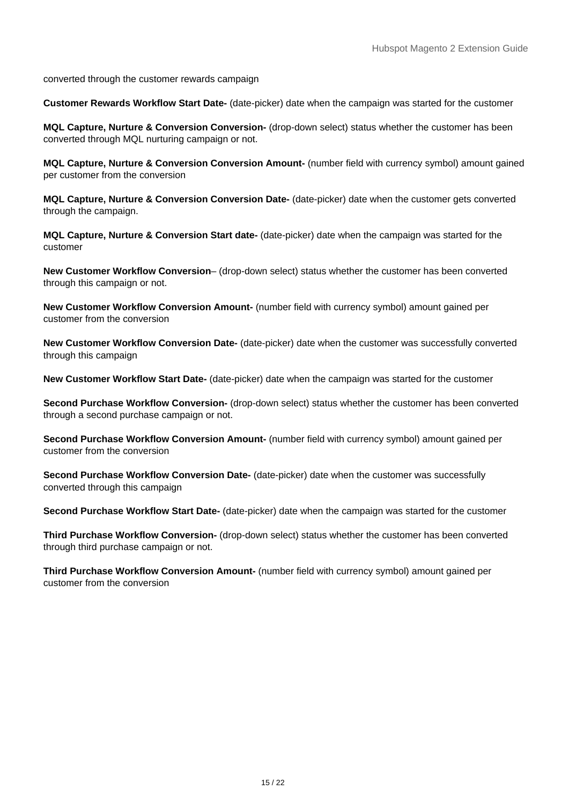converted through the customer rewards campaign

**Customer Rewards Workflow Start Date-** (date-picker) date when the campaign was started for the customer

**MQL Capture, Nurture & Conversion Conversion-** (drop-down select) status whether the customer has been converted through MQL nurturing campaign or not.

**MQL Capture, Nurture & Conversion Conversion Amount-** (number field with currency symbol) amount gained per customer from the conversion

**MQL Capture, Nurture & Conversion Conversion Date-** (date-picker) date when the customer gets converted through the campaign.

**MQL Capture, Nurture & Conversion Start date-** (date-picker) date when the campaign was started for the customer

**New Customer Workflow Conversion**– (drop-down select) status whether the customer has been converted through this campaign or not.

**New Customer Workflow Conversion Amount-** (number field with currency symbol) amount gained per customer from the conversion

**New Customer Workflow Conversion Date-** (date-picker) date when the customer was successfully converted through this campaign

**New Customer Workflow Start Date-** (date-picker) date when the campaign was started for the customer

**Second Purchase Workflow Conversion-** (drop-down select) status whether the customer has been converted through a second purchase campaign or not.

**Second Purchase Workflow Conversion Amount-** (number field with currency symbol) amount gained per customer from the conversion

**Second Purchase Workflow Conversion Date-** (date-picker) date when the customer was successfully converted through this campaign

**Second Purchase Workflow Start Date-** (date-picker) date when the campaign was started for the customer

**Third Purchase Workflow Conversion-** (drop-down select) status whether the customer has been converted through third purchase campaign or not.

**Third Purchase Workflow Conversion Amount-** (number field with currency symbol) amount gained per customer from the conversion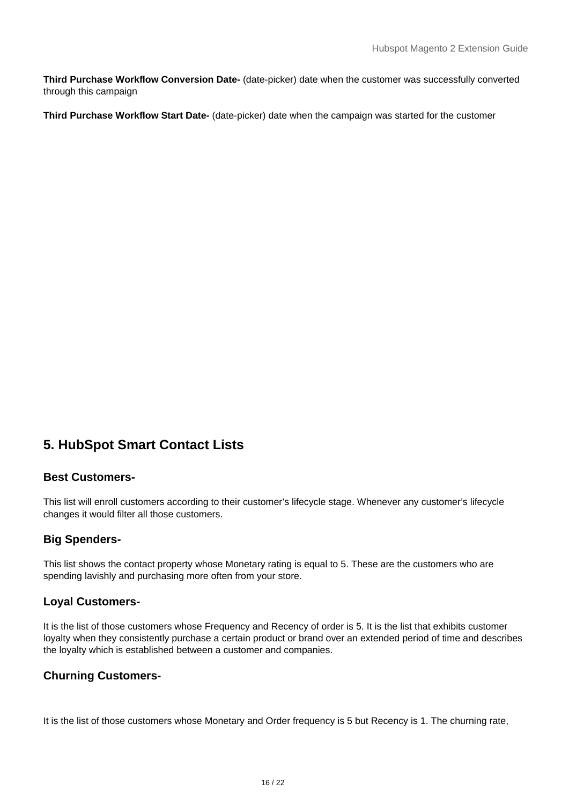<span id="page-15-0"></span>**Third Purchase Workflow Conversion Date-** (date-picker) date when the customer was successfully converted through this campaign

**Third Purchase Workflow Start Date-** (date-picker) date when the campaign was started for the customer

# **5. HubSpot Smart Contact Lists**

## **Best Customers-**

This list will enroll customers according to their customer's lifecycle stage. Whenever any customer's lifecycle changes it would filter all those customers.

# **Big Spenders-**

This list shows the contact property whose Monetary rating is equal to 5. These are the customers who are spending lavishly and purchasing more often from your store.

#### **Loyal Customers-**

It is the list of those customers whose Frequency and Recency of order is 5. It is the list that exhibits customer loyalty when they consistently purchase a certain product or brand over an extended period of time and describes the loyalty which is established between a customer and companies.

#### **Churning Customers-**

It is the list of those customers whose Monetary and Order frequency is 5 but Recency is 1. The churning rate,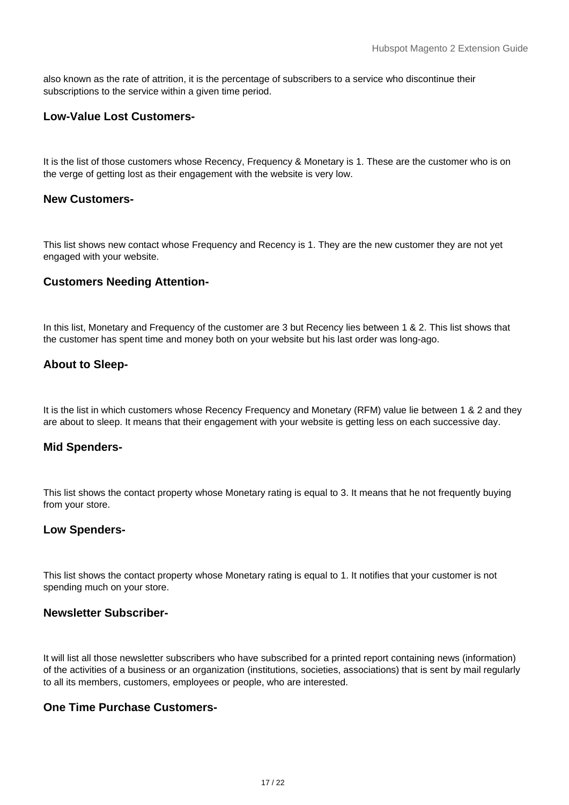also known as the rate of attrition, it is the percentage of subscribers to a service who discontinue their subscriptions to the service within a given time period.

## **Low-Value Lost Customers-**

It is the list of those customers whose Recency, Frequency & Monetary is 1. These are the customer who is on the verge of getting lost as their engagement with the website is very low.

#### **New Customers-**

This list shows new contact whose Frequency and Recency is 1. They are the new customer they are not yet engaged with your website.

## **Customers Needing Attention-**

In this list, Monetary and Frequency of the customer are 3 but Recency lies between 1 & 2. This list shows that the customer has spent time and money both on your website but his last order was long-ago.

# **About to Sleep-**

It is the list in which customers whose Recency Frequency and Monetary (RFM) value lie between 1 & 2 and they are about to sleep. It means that their engagement with your website is getting less on each successive day.

#### **Mid Spenders-**

This list shows the contact property whose Monetary rating is equal to 3. It means that he not frequently buying from your store.

#### **Low Spenders-**

This list shows the contact property whose Monetary rating is equal to 1. It notifies that your customer is not spending much on your store.

#### **Newsletter Subscriber-**

It will list all those newsletter subscribers who have subscribed for a printed report containing news (information) of the activities of a business or an organization (institutions, societies, associations) that is sent by mail regularly to all its members, customers, employees or people, who are interested.

## **One Time Purchase Customers-**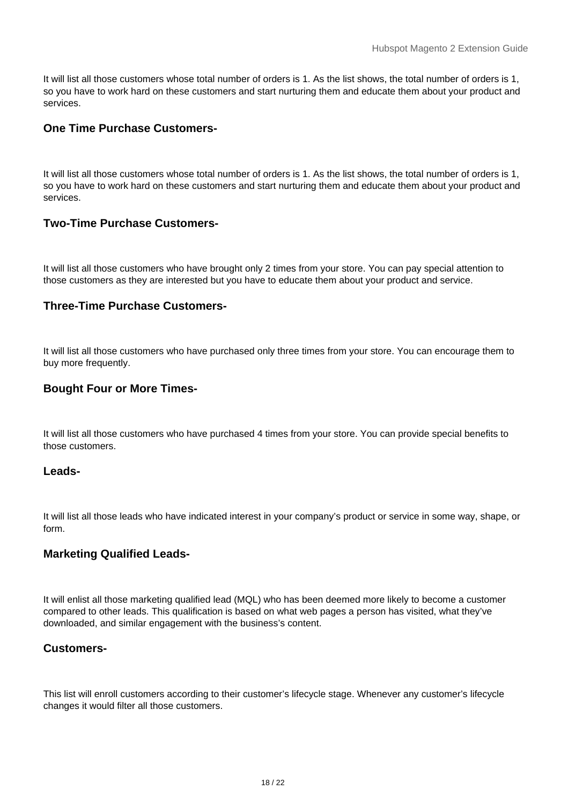It will list all those customers whose total number of orders is 1. As the list shows, the total number of orders is 1, so you have to work hard on these customers and start nurturing them and educate them about your product and services.

# **One Time Purchase Customers-**

It will list all those customers whose total number of orders is 1. As the list shows, the total number of orders is 1, so you have to work hard on these customers and start nurturing them and educate them about your product and services.

# **Two-Time Purchase Customers-**

It will list all those customers who have brought only 2 times from your store. You can pay special attention to those customers as they are interested but you have to educate them about your product and service.

## **Three-Time Purchase Customers-**

It will list all those customers who have purchased only three times from your store. You can encourage them to buy more frequently.

#### **Bought Four or More Times-**

It will list all those customers who have purchased 4 times from your store. You can provide special benefits to those customers.

#### **Leads-**

It will list all those leads who have indicated interest in your company's product or service in some way, shape, or form.

#### **Marketing Qualified Leads-**

It will enlist all those marketing qualified lead (MQL) who has been deemed more likely to become a customer compared to other leads. This qualification is based on what web pages a person has visited, what they've downloaded, and similar engagement with the business's content.

#### **Customers-**

This list will enroll customers according to their customer's lifecycle stage. Whenever any customer's lifecycle changes it would filter all those customers.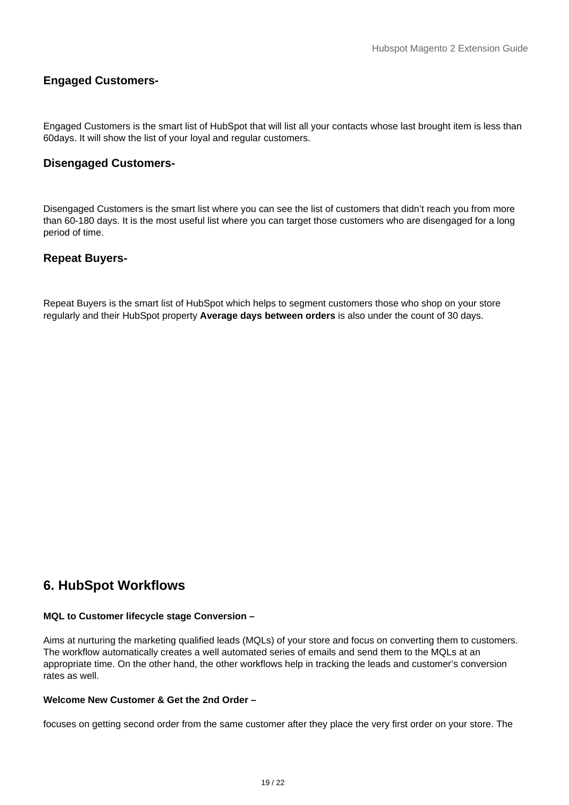## <span id="page-18-0"></span>**Engaged Customers-**

Engaged Customers is the smart list of HubSpot that will list all your contacts whose last brought item is less than 60days. It will show the list of your loyal and regular customers.

## **Disengaged Customers-**

Disengaged Customers is the smart list where you can see the list of customers that didn't reach you from more than 60-180 days. It is the most useful list where you can target those customers who are disengaged for a long period of time.

## **Repeat Buyers-**

Repeat Buyers is the smart list of HubSpot which helps to segment customers those who shop on your store regularly and their HubSpot property **Average days between orders** is also under the count of 30 days.

# **6. HubSpot Workflows**

#### **MQL to Customer lifecycle stage Conversion –**

Aims at nurturing the marketing qualified leads (MQLs) of your store and focus on converting them to customers. The workflow automatically creates a well automated series of emails and send them to the MQLs at an appropriate time. On the other hand, the other workflows help in tracking the leads and customer's conversion rates as well.

#### **Welcome New Customer & Get the 2nd Order –**

focuses on getting second order from the same customer after they place the very first order on your store. The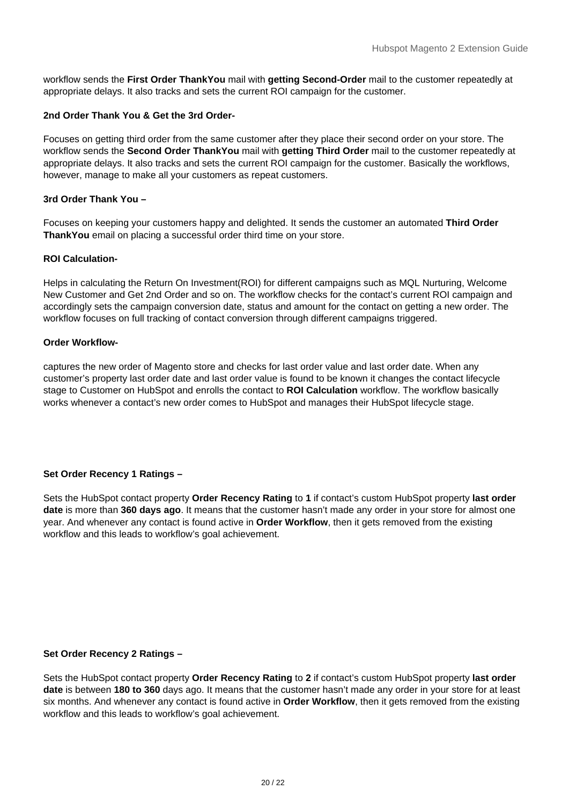workflow sends the **First Order ThankYou** mail with **getting Second-Order** mail to the customer repeatedly at appropriate delays. It also tracks and sets the current ROI campaign for the customer.

#### **2nd Order Thank You & Get the 3rd Order-**

Focuses on getting third order from the same customer after they place their second order on your store. The workflow sends the **Second Order ThankYou** mail with **getting Third Order** mail to the customer repeatedly at appropriate delays. It also tracks and sets the current ROI campaign for the customer. Basically the workflows, however, manage to make all your customers as repeat customers.

#### **3rd Order Thank You –**

Focuses on keeping your customers happy and delighted. It sends the customer an automated **Third Order ThankYou** email on placing a successful order third time on your store.

#### **ROI Calculation-**

Helps in calculating the Return On Investment(ROI) for different campaigns such as MQL Nurturing, Welcome New Customer and Get 2nd Order and so on. The workflow checks for the contact's current ROI campaign and accordingly sets the campaign conversion date, status and amount for the contact on getting a new order. The workflow focuses on full tracking of contact conversion through different campaigns triggered.

#### **Order Workflow-**

captures the new order of Magento store and checks for last order value and last order date. When any customer's property last order date and last order value is found to be known it changes the contact lifecycle stage to Customer on HubSpot and enrolls the contact to **ROI Calculation** workflow. The workflow basically works whenever a contact's new order comes to HubSpot and manages their HubSpot lifecycle stage.

#### **Set Order Recency 1 Ratings –**

Sets the HubSpot contact property **Order Recency Rating** to **1** if contact's custom HubSpot property **last order date** is more than **360 days ago**. It means that the customer hasn't made any order in your store for almost one year. And whenever any contact is found active in **Order Workflow**, then it gets removed from the existing workflow and this leads to workflow's goal achievement.

#### **Set Order Recency 2 Ratings –**

Sets the HubSpot contact property **Order Recency Rating** to **2** if contact's custom HubSpot property **last order date** is between **180 to 360** days ago. It means that the customer hasn't made any order in your store for at least six months. And whenever any contact is found active in **Order Workflow**, then it gets removed from the existing workflow and this leads to workflow's goal achievement.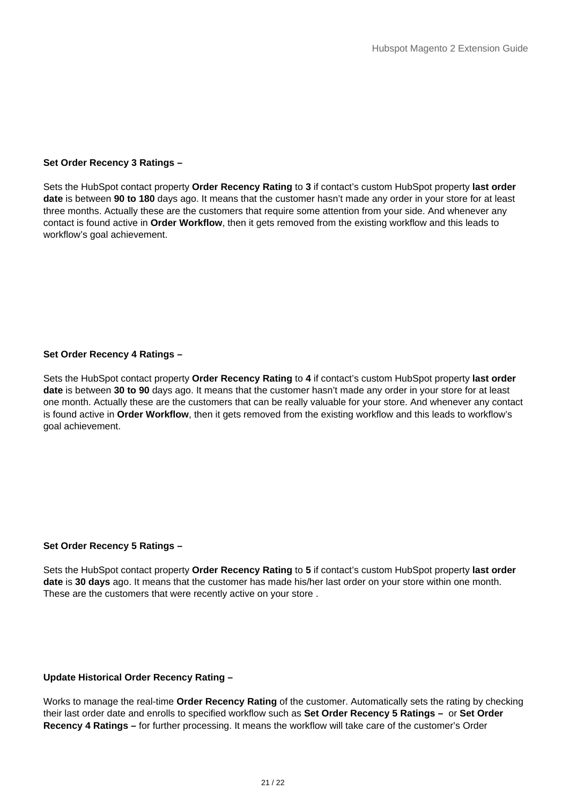#### **Set Order Recency 3 Ratings –**

Sets the HubSpot contact property **Order Recency Rating** to **3** if contact's custom HubSpot property **last order date** is between **90 to 180** days ago. It means that the customer hasn't made any order in your store for at least three months. Actually these are the customers that require some attention from your side. And whenever any contact is found active in **Order Workflow**, then it gets removed from the existing workflow and this leads to workflow's goal achievement.

#### **Set Order Recency 4 Ratings –**

Sets the HubSpot contact property **Order Recency Rating** to **4** if contact's custom HubSpot property **last order date** is between **30 to 90** days ago. It means that the customer hasn't made any order in your store for at least one month. Actually these are the customers that can be really valuable for your store. And whenever any contact is found active in **Order Workflow**, then it gets removed from the existing workflow and this leads to workflow's goal achievement.

#### **Set Order Recency 5 Ratings –**

Sets the HubSpot contact property **Order Recency Rating** to **5** if contact's custom HubSpot property **last order date** is **30 days** ago. It means that the customer has made his/her last order on your store within one month. These are the customers that were recently active on your store .

#### **Update Historical Order Recency Rating –**

Works to manage the real-time **Order Recency Rating** of the customer. Automatically sets the rating by checking their last order date and enrolls to specified workflow such as **Set Order Recency 5 Ratings –** or **Set Order Recency 4 Ratings –** for further processing. It means the workflow will take care of the customer's Order